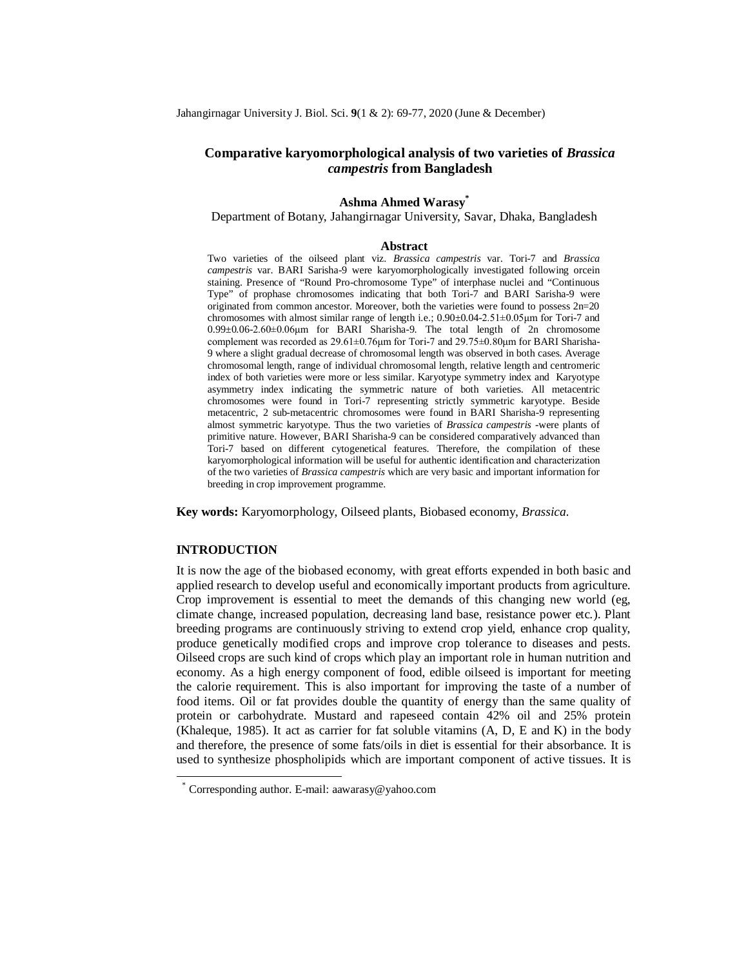# **Comparative karyomorphological analysis of two varieties of** *Brassica campestris* **from Bangladesh**

### **Ashma Ahmed Warasy\***

Department of Botany, Jahangirnagar University, Savar, Dhaka, Bangladesh

#### **Abstract**

Two varieties of the oilseed plant viz. *Brassica campestris* var. Tori-7 and *Brassica campestris* var. BARI Sarisha-9 were karyomorphologically investigated following orcein staining. Presence of "Round Pro-chromosome Type" of interphase nuclei and "Continuous Type" of prophase chromosomes indicating that both Tori-7 and BARI Sarisha-9 were originated from common ancestor. Moreover, both the varieties were found to possess 2n=20 chromosomes with almost similar range of length i.e.; 0.90±0.04-2.51±0.05μm for Tori-7 and 0.99±0.06-2.60±0.06μm for BARI Sharisha-9. The total length of 2n chromosome complement was recorded as 29.61±0.76μm for Tori-7 and 29.75±0.80μm for BARI Sharisha-9 where a slight gradual decrease of chromosomal length was observed in both cases. Average chromosomal length, range of individual chromosomal length, relative length and centromeric index of both varieties were more or less similar. Karyotype symmetry index and Karyotype asymmetry index indicating the symmetric nature of both varieties. All metacentric chromosomes were found in Tori-7 representing strictly symmetric karyotype. Beside metacentric, 2 sub-metacentric chromosomes were found in BARI Sharisha-9 representing almost symmetric karyotype. Thus the two varieties of *Brassica campestris -*were plants of primitive nature. However, BARI Sharisha-9 can be considered comparatively advanced than Tori-7 based on different cytogenetical features. Therefore, the compilation of these karyomorphological information will be useful for authentic identification and characterization of the two varieties of *Brassica campestris* which are very basic and important information for breeding in crop improvement programme.

**Key words:** Karyomorphology, Oilseed plants, Biobased economy, *Brassica.*

#### **INTRODUCTION**

 $\ddot{\phantom{a}}$ 

It is now the age of the biobased economy, with great efforts expended in both basic and applied research to develop useful and economically important products from agriculture. Crop improvement is essential to meet the demands of this changing new world (eg, climate change, increased population, decreasing land base, resistance power etc.). Plant breeding programs are continuously striving to extend crop yield, enhance crop quality, produce genetically modified crops and improve crop tolerance to diseases and pests. Oilseed crops are such kind of crops which play an important role in human nutrition and economy. As a high energy component of food, edible oilseed is important for meeting the calorie requirement. This is also important for improving the taste of a number of food items. Oil or fat provides double the quantity of energy than the same quality of protein or carbohydrate. Mustard and rapeseed contain 42% oil and 25% protein (Khaleque, 1985). It act as carrier for fat soluble vitamins (A, D, E and K) in the body and therefore, the presence of some fats/oils in diet is essential for their absorbance. It is used to synthesize phospholipids which are important component of active tissues. It is

<sup>\*</sup> Corresponding author. E-mail: aawarasy@yahoo.com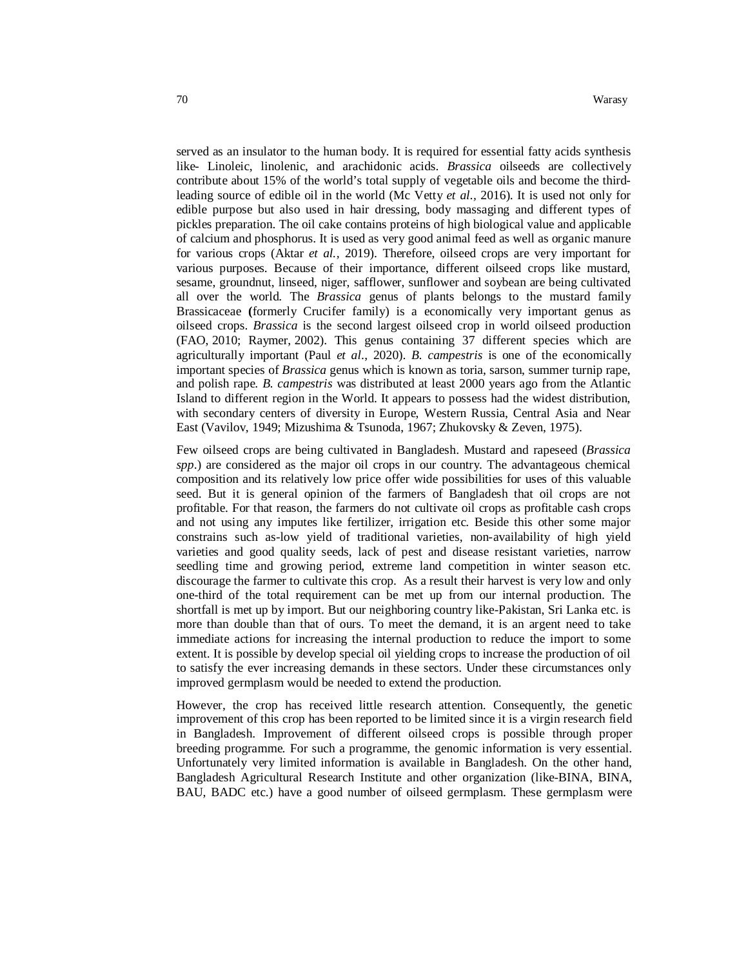served as an insulator to the human body. It is required for essential fatty acids synthesis like- Linoleic, linolenic, and arachidonic acids. *Brassica* oilseeds are collectively contribute about 15% of the world's total supply of vegetable oils and become the thirdleading source of edible oil in the world (Mc Vetty *et al.,* 2016). It is used not only for edible purpose but also used in hair dressing, body massaging and different types of pickles preparation. The oil cake contains proteins of high biological value and applicable of calcium and phosphorus. It is used as very good animal feed as well as organic manure for various crops (Aktar *et al.,* 2019). Therefore, oilseed crops are very important for various purposes. Because of their importance, different oilseed crops like mustard, sesame, groundnut, linseed, niger, safflower, sunflower and soybean are being cultivated all over the world. The *Brassica* genus of plants belongs to the mustard family Brassicaceae **(**formerly Crucifer family) is a economically very important genus as oilseed crops. *Brassica* is the second largest oilseed crop in world oilseed production (FAO, 2010; Raymer, 2002). This genus containing 37 different species which are agriculturally important (Paul *et al*., 2020). *B. campestris* is one of the economically important species of *Brassica* genus which is known as toria, sarson, summer turnip rape, and polish rape. *B. campestris* was distributed at least 2000 years ago from the Atlantic Island to different region in the World. It appears to possess had the widest distribution, with secondary centers of diversity in Europe, Western Russia, Central Asia and Near East (Vavilov, 1949; Mizushima & Tsunoda, 1967; Zhukovsky & Zeven, 1975).

Few oilseed crops are being cultivated in Bangladesh. Mustard and rapeseed (*Brassica spp*.) are considered as the major oil crops in our country. The advantageous chemical composition and its relatively low price offer wide possibilities for uses of this valuable seed. But it is general opinion of the farmers of Bangladesh that oil crops are not profitable. For that reason, the farmers do not cultivate oil crops as profitable cash crops and not using any imputes like fertilizer, irrigation etc. Beside this other some major constrains such as-low yield of traditional varieties, non-availability of high yield varieties and good quality seeds, lack of pest and disease resistant varieties, narrow seedling time and growing period, extreme land competition in winter season etc. discourage the farmer to cultivate this crop. As a result their harvest is very low and only one-third of the total requirement can be met up from our internal production. The shortfall is met up by import. But our neighboring country like-Pakistan, Sri Lanka etc. is more than double than that of ours. To meet the demand, it is an argent need to take immediate actions for increasing the internal production to reduce the import to some extent. It is possible by develop special oil yielding crops to increase the production of oil to satisfy the ever increasing demands in these sectors. Under these circumstances only improved germplasm would be needed to extend the production.

However, the crop has received little research attention. Consequently, the genetic improvement of this crop has been reported to be limited since it is a virgin research field in Bangladesh. Improvement of different oilseed crops is possible through proper breeding programme. For such a programme, the genomic information is very essential. Unfortunately very limited information is available in Bangladesh. On the other hand, Bangladesh Agricultural Research Institute and other organization (like-BINA, BINA, BAU, BADC etc.) have a good number of oilseed germplasm. These germplasm were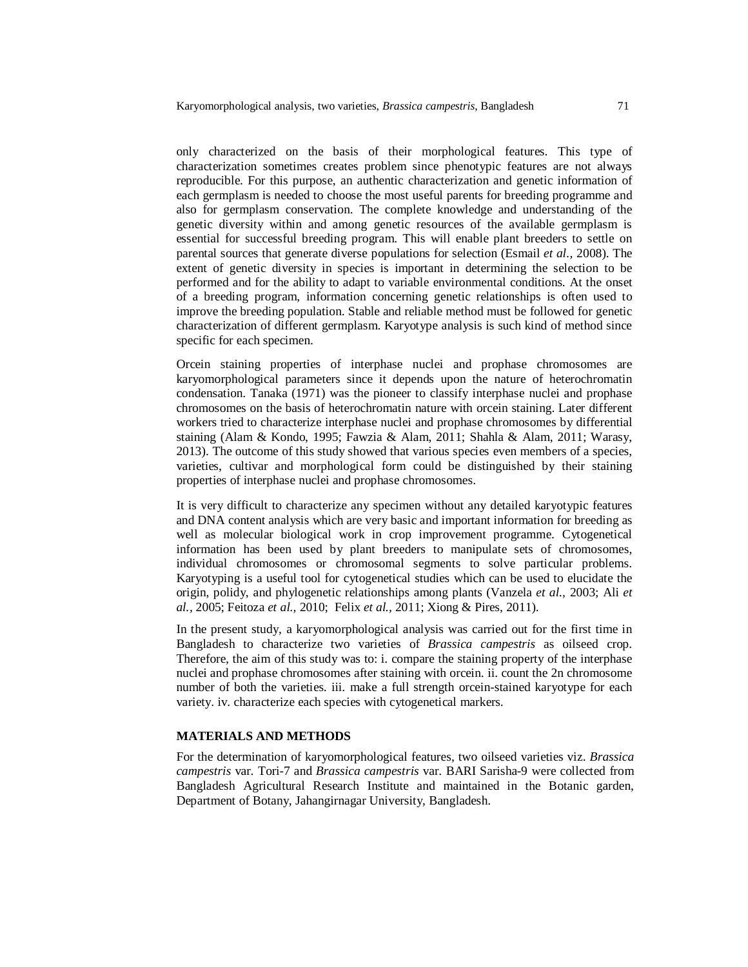only characterized on the basis of their morphological features. This type of characterization sometimes creates problem since phenotypic features are not always reproducible. For this purpose, an authentic characterization and genetic information of each germplasm is needed to choose the most useful parents for breeding programme and also for germplasm conservation. The complete knowledge and understanding of the genetic diversity within and among genetic resources of the available germplasm is essential for successful breeding program. This will enable plant breeders to settle on parental sources that generate diverse populations for selection (Esmail *et al.,* 2008). The extent of genetic diversity in species is important in determining the selection to be performed and for the ability to adapt to variable environmental conditions. At the onset of a breeding program, information concerning genetic relationships is often used to improve the breeding population. Stable and reliable method must be followed for genetic characterization of different germplasm. Karyotype analysis is such kind of method since specific for each specimen.

Orcein staining properties of interphase nuclei and prophase chromosomes are karyomorphological parameters since it depends upon the nature of heterochromatin condensation. Tanaka (1971) was the pioneer to classify interphase nuclei and prophase chromosomes on the basis of heterochromatin nature with orcein staining. Later different workers tried to characterize interphase nuclei and prophase chromosomes by differential staining (Alam & Kondo, 1995; Fawzia & Alam, 2011; Shahla & Alam, 2011; Warasy, 2013). The outcome of this study showed that various species even members of a species, varieties, cultivar and morphological form could be distinguished by their staining properties of interphase nuclei and prophase chromosomes.

It is very difficult to characterize any specimen without any detailed karyotypic features and DNA content analysis which are very basic and important information for breeding as well as molecular biological work in crop improvement programme. Cytogenetical information has been used by plant breeders to manipulate sets of chromosomes, individual chromosomes or chromosomal segments to solve particular problems. Karyotyping is a useful tool for cytogenetical studies which can be used to elucidate the origin, polidy, and phylogenetic relationships among plants (Vanzela *et al.,* 2003; Ali *et al.,* 2005; Feitoza *et al.,* 2010; Felix *et al.,* 2011; Xiong & Pires, 2011).

In the present study, a karyomorphological analysis was carried out for the first time in Bangladesh to characterize two varieties of *Brassica campestris* as oilseed crop. Therefore, the aim of this study was to: i. compare the staining property of the interphase nuclei and prophase chromosomes after staining with orcein. ii. count the 2n chromosome number of both the varieties. iii. make a full strength orcein-stained karyotype for each variety. iv. characterize each species with cytogenetical markers.

## **MATERIALS AND METHODS**

For the determination of karyomorphological features, two oilseed varieties viz. *Brassica campestris* var. Tori-7 and *Brassica campestris* var. BARI Sarisha-9 were collected from Bangladesh Agricultural Research Institute and maintained in the Botanic garden, Department of Botany, Jahangirnagar University, Bangladesh.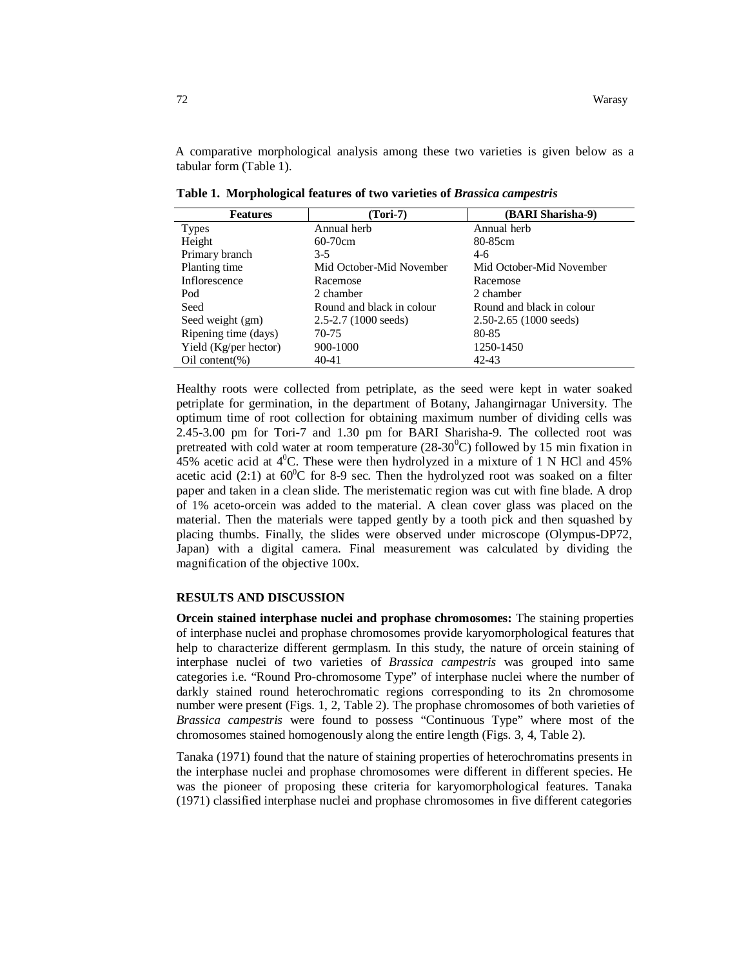A comparative morphological analysis among these two varieties is given below as a tabular form (Table 1).

| <b>Features</b>       | (Tori-7)                  | (BARI Sharisha-9)          |
|-----------------------|---------------------------|----------------------------|
| <b>Types</b>          | Annual herb               | Annual herb                |
| Height                | $60-70$ cm                | 80-85cm                    |
| Primary branch        | $3-5$                     | $4-6$                      |
| Planting time         | Mid October-Mid November  | Mid October-Mid November   |
| Inflorescence         | Racemose                  | Racemose                   |
| Pod                   | 2 chamber                 | 2 chamber                  |
| Seed                  | Round and black in colour | Round and black in colour  |
| Seed weight (gm)      | $2.5 - 2.7$ (1000 seeds)  | $2.50 - 2.65$ (1000 seeds) |
| Ripening time (days)  | 70-75                     | 80-85                      |
| Yield (Kg/per hector) | 900-1000                  | 1250-1450                  |
| $Oil content(\%)$     | 40-41                     | 42-43                      |

**Table 1. Morphological features of two varieties of** *Brassica campestris*

Healthy roots were collected from petriplate, as the seed were kept in water soaked petriplate for germination, in the department of Botany, Jahangirnagar University. The optimum time of root collection for obtaining maximum number of dividing cells was 2.45-3.00 pm for Tori-7 and 1.30 pm for BARI Sharisha-9. The collected root was pretreated with cold water at room temperature  $(28-30^{\circ}C)$  followed by 15 min fixation in 45% acetic acid at  $4^{\circ}$ C. These were then hydrolyzed in a mixture of 1 N HCl and 45% acetic acid (2:1) at  $60^{\circ}$ C for 8-9 sec. Then the hydrolyzed root was soaked on a filter paper and taken in a clean slide. The meristematic region was cut with fine blade. A drop of 1% aceto-orcein was added to the material. A clean cover glass was placed on the material. Then the materials were tapped gently by a tooth pick and then squashed by placing thumbs. Finally, the slides were observed under microscope (Olympus-DP72, Japan) with a digital camera. Final measurement was calculated by dividing the magnification of the objective 100x.

### **RESULTS AND DISCUSSION**

**Orcein stained interphase nuclei and prophase chromosomes:** The staining properties of interphase nuclei and prophase chromosomes provide karyomorphological features that help to characterize different germplasm. In this study, the nature of orcein staining of interphase nuclei of two varieties of *Brassica campestris* was grouped into same categories i.e. "Round Pro-chromosome Type" of interphase nuclei where the number of darkly stained round heterochromatic regions corresponding to its 2n chromosome number were present (Figs. 1, 2, Table 2). The prophase chromosomes of both varieties of *Brassica campestris* were found to possess "Continuous Type" where most of the chromosomes stained homogenously along the entire length (Figs. 3, 4, Table 2).

Tanaka (1971) found that the nature of staining properties of heterochromatins presents in the interphase nuclei and prophase chromosomes were different in different species. He was the pioneer of proposing these criteria for karyomorphological features. Tanaka (1971) classified interphase nuclei and prophase chromosomes in five different categories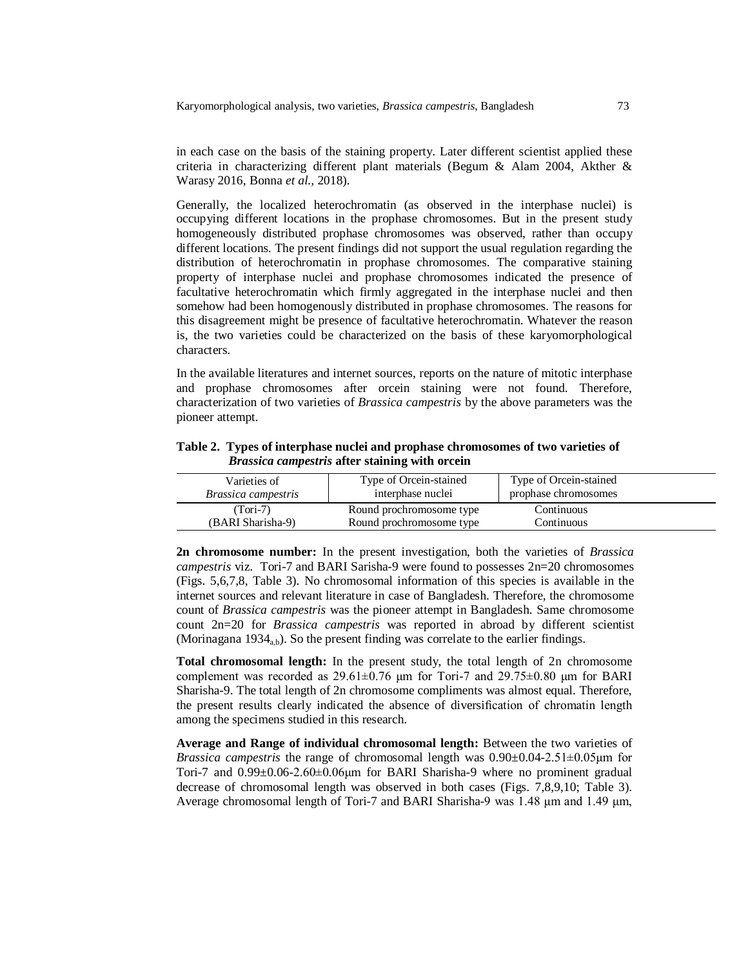Karyomorphological analysis, two varieties, *Brassica campestris*, Bangladesh 73

in each case on the basis of the staining property. Later different scientist applied these criteria in characterizing different plant materials (Begum & Alam 2004, Akther & Warasy 2016, Bonna *et al.,* 2018).

Generally, the localized heterochromatin (as observed in the interphase nuclei) is occupying different locations in the prophase chromosomes. But in the present study homogeneously distributed prophase chromosomes was observed, rather than occupy different locations. The present findings did not support the usual regulation regarding the distribution of heterochromatin in prophase chromosomes. The comparative staining property of interphase nuclei and prophase chromosomes indicated the presence of facultative heterochromatin which firmly aggregated in the interphase nuclei and then somehow had been homogenously distributed in prophase chromosomes. The reasons for this disagreement might be presence of facultative heterochromatin. Whatever the reason is, the two varieties could be characterized on the basis of these karyomorphological characters.

In the available literatures and internet sources, reports on the nature of mitotic interphase and prophase chromosomes after orcein staining were not found. Therefore, characterization of two varieties of *Brassica campestris* by the above parameters was the pioneer attempt.

**Table 2. Types of interphase nuclei and prophase chromosomes of two varieties of**  *Brassica campestris* **after staining with orcein**

| Varieties of               | Type of Orcein-stained   | Type of Orcein-stained |  |
|----------------------------|--------------------------|------------------------|--|
| <i>Brassica campestris</i> | interphase nuclei        | prophase chromosomes   |  |
| (Tori-7)                   | Round prochromosome type | Continuous             |  |
| (BARI Sharisha-9)          | Round prochromosome type | Continuous             |  |

**2n chromosome number:** In the present investigation, both the varieties of *Brassica campestris* viz. Tori-7 and BARI Sarisha-9 were found to possesses 2n=20 chromosomes (Figs. 5,6,7,8, Table 3). No chromosomal information of this species is available in the internet sources and relevant literature in case of Bangladesh. Therefore, the chromosome count of *Brassica campestris* was the pioneer attempt in Bangladesh. Same chromosome count 2n=20 for *Brassica campestris* was reported in abroad by different scientist (Morinagana 1934<sub>a,b</sub>). So the present finding was correlate to the earlier findings.

**Total chromosomal length:** In the present study, the total length of 2n chromosome complement was recorded as  $29.61 \pm 0.76$  μm for Tori-7 and  $29.75 \pm 0.80$  μm for BARI Sharisha-9. The total length of 2n chromosome compliments was almost equal. Therefore, the present results clearly indicated the absence of diversification of chromatin length among the specimens studied in this research.

**Average and Range of individual chromosomal length:** Between the two varieties of *Brassica campestris* the range of chromosomal length was 0.90±0.04-2.51±0.05μm for Tori-7 and  $0.99\pm0.06-2.60\pm0.06\mu$ m for BARI Sharisha-9 where no prominent gradual decrease of chromosomal length was observed in both cases (Figs. 7,8,9,10; Table 3). Average chromosomal length of Tori-7 and BARI Sharisha-9 was 1.48 μm and 1.49 μm,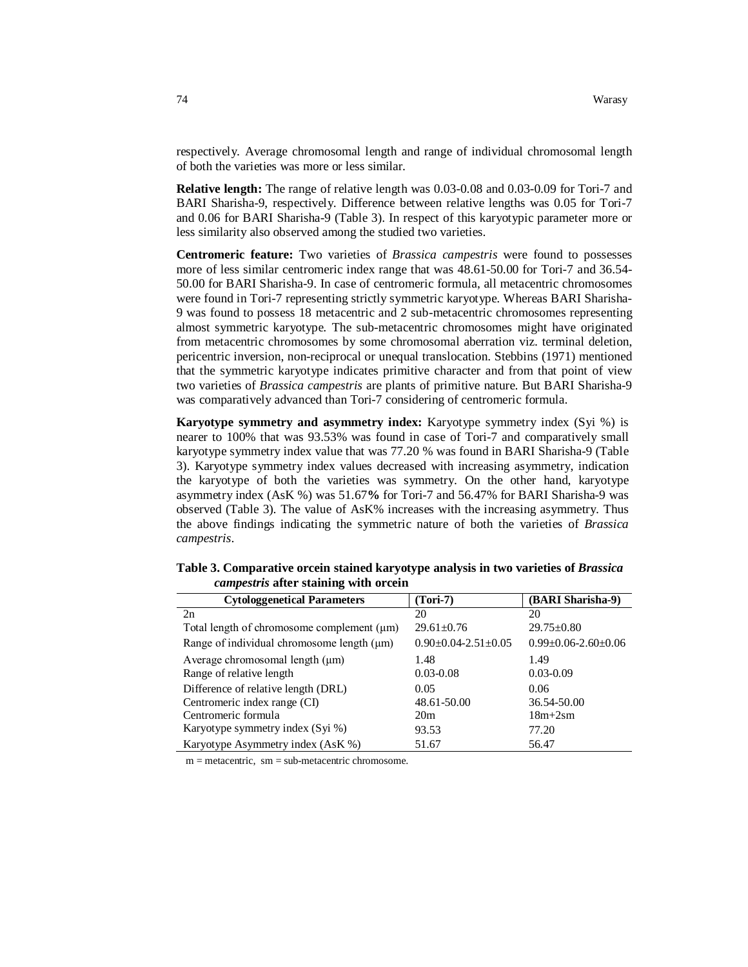respectively. Average chromosomal length and range of individual chromosomal length of both the varieties was more or less similar.

**Relative length:** The range of relative length was 0.03-0.08 and 0.03-0.09 for Tori-7 and BARI Sharisha-9, respectively. Difference between relative lengths was 0.05 for Tori-7 and 0.06 for BARI Sharisha-9 (Table 3). In respect of this karyotypic parameter more or less similarity also observed among the studied two varieties.

**Centromeric feature:** Two varieties of *Brassica campestris* were found to possesses more of less similar centromeric index range that was 48.61-50.00 for Tori-7 and 36.54- 50.00 for BARI Sharisha-9. In case of centromeric formula, all metacentric chromosomes were found in Tori-7 representing strictly symmetric karyotype. Whereas BARI Sharisha-9 was found to possess 18 metacentric and 2 sub-metacentric chromosomes representing almost symmetric karyotype. The sub-metacentric chromosomes might have originated from metacentric chromosomes by some chromosomal aberration viz. terminal deletion, pericentric inversion, non-reciprocal or unequal translocation. Stebbins (1971) mentioned that the symmetric karyotype indicates primitive character and from that point of view two varieties of *Brassica campestris* are plants of primitive nature. But BARI Sharisha-9 was comparatively advanced than Tori-7 considering of centromeric formula.

**Karyotype symmetry and asymmetry index:** Karyotype symmetry index (Syi %) is nearer to 100% that was 93.53% was found in case of Tori-7 and comparatively small karyotype symmetry index value that was 77.20 % was found in BARI Sharisha-9 (Table 3). Karyotype symmetry index values decreased with increasing asymmetry, indication the karyotype of both the varieties was symmetry. On the other hand, karyotype asymmetry index (AsK %) was 51.67**%** for Tori-7 and 56.47% for BARI Sharisha-9 was observed (Table 3). The value of AsK% increases with the increasing asymmetry. Thus the above findings indicating the symmetric nature of both the varieties of *Brassica campestris*.

| <b>Cytologgenetical Parameters</b>              | $(Tori-7)$                      | (BARI Sharisha-9)               |
|-------------------------------------------------|---------------------------------|---------------------------------|
| 2n                                              | 20                              | 20                              |
| Total length of chromosome complement $(\mu m)$ | $29.61 \pm 0.76$                | $29.75 \pm 0.80$                |
| Range of individual chromosome length $(\mu m)$ | $0.90 \pm 0.04 - 2.51 \pm 0.05$ | $0.99 \pm 0.06 - 2.60 \pm 0.06$ |
| Average chromosomal length $(\mu m)$            | 1.48                            | 1.49                            |
| Range of relative length                        | $0.03 - 0.08$                   | $0.03 - 0.09$                   |
| Difference of relative length (DRL)             | 0.05                            | 0.06                            |
| Centromeric index range (CI)                    | 48.61-50.00                     | 36.54-50.00                     |
| Centromeric formula                             | 20m                             | $18m+2sm$                       |
| Karyotype symmetry index (Syi %)                | 93.53                           | 77.20                           |
| Karyotype Asymmetry index (AsK %)               | 51.67                           | 56.47                           |

**Table 3. Comparative orcein stained karyotype analysis in two varieties of** *Brassica campestris* **after staining with orcein**

 $m =$  metacentric,  $sm =$  sub-metacentric chromosome.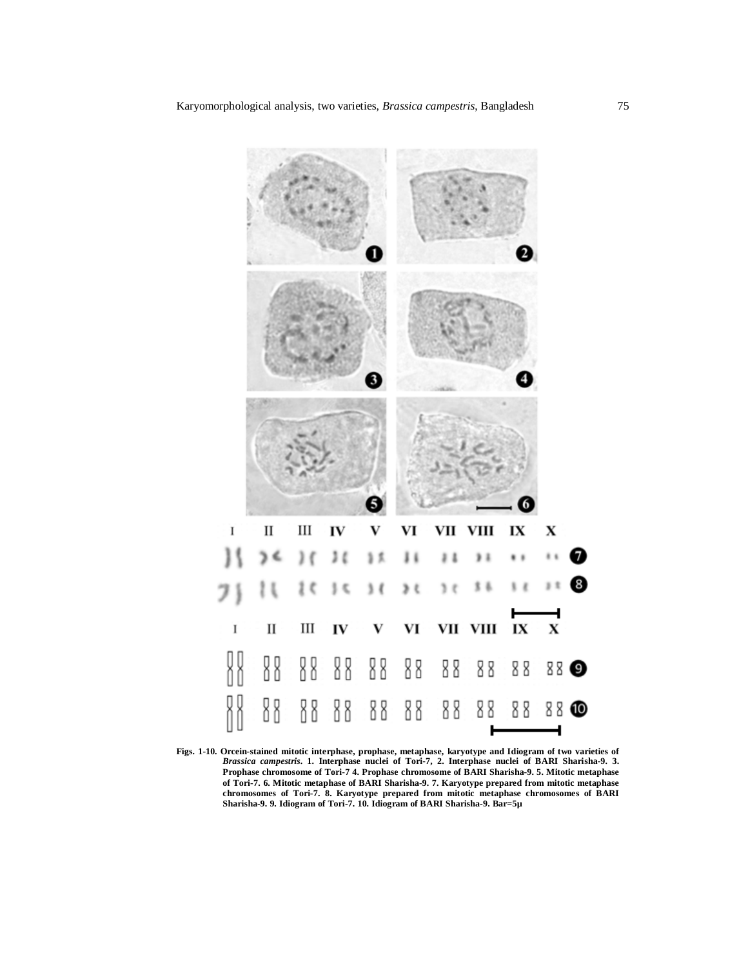

**Figs. 1-10. Orcein-stained mitotic interphase, prophase, metaphase, karyotype and Idiogram of two varieties of**  *Brassica campestris***. 1. Interphase nuclei of Tori-7, 2. Interphase nuclei of BARI Sharisha-9. 3. Prophase chromosome of Tori-7 4. Prophase chromosome of BARI Sharisha-9. 5. Mitotic metaphase of Tori-7. 6. Mitotic metaphase of BARI Sharisha-9. 7. Karyotype prepared from mitotic metaphase chromosomes of Tori-7. 8. Karyotype prepared from mitotic metaphase chromosomes of BARI Sharisha-9. 9. Idiogram of Tori-7. 10. Idiogram of BARI Sharisha-9. Bar=5µ**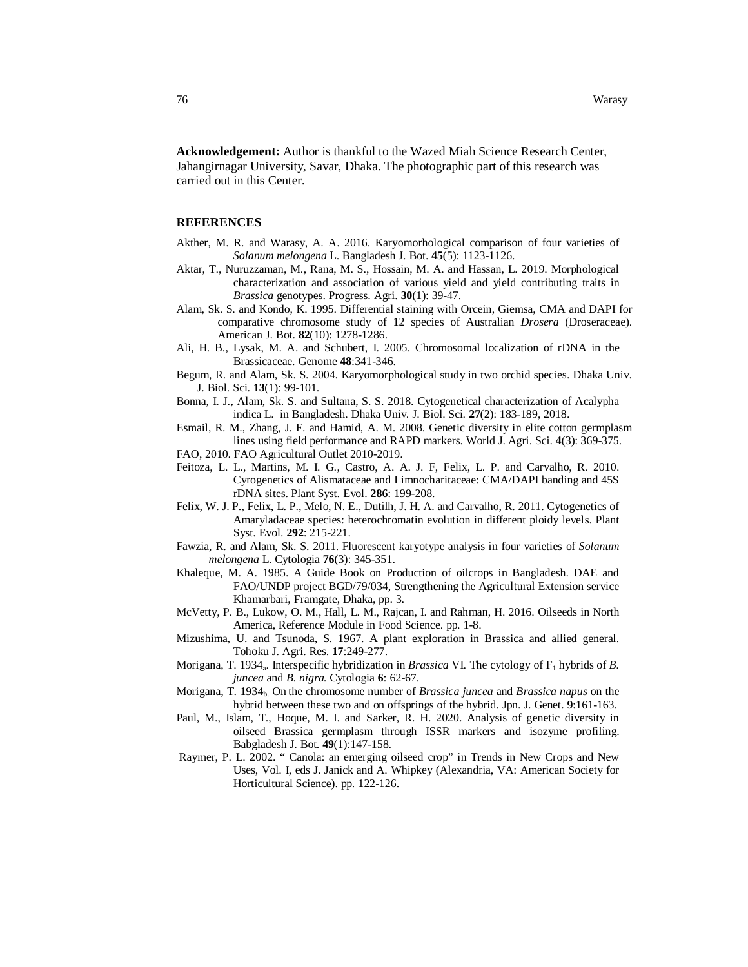**Acknowledgement:** Author is thankful to the Wazed Miah Science Research Center, Jahangirnagar University, Savar, Dhaka. The photographic part of this research was carried out in this Center.

### **REFERENCES**

- Akther, M. R. and Warasy, A. A. 2016. Karyomorhological comparison of four varieties of *Solanum melongena* L. Bangladesh J. Bot. **45**(5): 1123-1126.
- Aktar, T., Nuruzzaman, M., Rana, M. S., Hossain, M. A. and Hassan, L. 2019. Morphological characterization and association of various yield and yield contributing traits in *Brassica* genotypes. Progress. Agri. **30**(1): 39-47.
- Alam, Sk. S. and Kondo, K. 1995. Differential staining with Orcein, Giemsa, CMA and DAPI for comparative chromosome study of 12 species of Australian *Drosera* (Droseraceae). American J. Bot. **82**(10): 1278-1286.
- Ali, H. B., Lysak, M. A. and Schubert, I. 2005. Chromosomal localization of rDNA in the Brassicaceae. Genome **48**:341-346.
- Begum, R. and Alam, Sk. S. 2004. Karyomorphological study in two orchid species. Dhaka Univ. J. Biol. Sci. **13**(1): 99-101.
- Bonna, I. J., Alam, Sk. S. and Sultana, S. S. 2018. Cytogenetical characterization of Acalypha indica L. in Bangladesh. Dhaka Univ. J. Biol. Sci. **27**(2): 183-189, 2018.
- Esmail, R. M., Zhang, J. F. and Hamid, A. M. 2008. Genetic diversity in elite cotton germplasm lines using field performance and RAPD markers. World J. Agri. Sci. **4**(3): 369-375.
- FAO, 2010. FAO Agricultural Outlet 2010-2019.
- Feitoza, L. L., Martins, M. I. G., Castro, A. A. J. F, Felix, L. P. and Carvalho, R. 2010. Cyrogenetics of Alismataceae and Limnocharitaceae: CMA/DAPI banding and 45S rDNA sites. Plant Syst. Evol. **286**: 199-208.
- Felix, W. J. P., Felix, L. P., Melo, N. E., Dutilh, J. H. A. and Carvalho, R. 2011. Cytogenetics of Amaryladaceae species: heterochromatin evolution in different ploidy levels. Plant Syst. Evol. **292**: 215-221.
- Fawzia, R. and Alam, Sk. S. 2011. Fluorescent karyotype analysis in four varieties of *Solanum melongena* L. Cytologia **76**(3): 345-351.
- Khaleque, M. A. 1985. A Guide Book on Production of oilcrops in Bangladesh. DAE and FAO/UNDP project BGD/79/034, Strengthening the Agricultural Extension service Khamarbari, Framgate, Dhaka, pp. 3.
- McVetty, P. B., Lukow, O. M., Hall, L. M., Rajcan, I. and Rahman, H. 2016. Oilseeds in North America, Reference Module in Food Science. pp. 1-8.
- Mizushima, U. and Tsunoda, S. 1967. A plant exploration in Brassica and allied general. Tohoku J. Agri. Res. **17**:249-277.
- Morigana, T. 1934<sub>a</sub>. Interspecific hybridization in *Brassica* VI. The cytology of F<sub>1</sub> hybrids of *B*. *juncea* and *B. nigra.* Cytologia **6**: 62-67.
- Morigana, T. 1934<sub>b</sub>. On the chromosome number of *Brassica juncea* and *Brassica napus* on the hybrid between these two and on offsprings of the hybrid. Jpn. J. Genet. **9**:161-163.
- Paul, M., Islam, T., Hoque, M. I. and Sarker, R. H. 2020. Analysis of genetic diversity in oilseed Brassica germplasm through ISSR markers and isozyme profiling. Babgladesh J. Bot. **49**(1):147-158.
- Raymer, P. L. 2002. " Canola: an emerging oilseed crop" in Trends in New Crops and New Uses, Vol. I, eds J. Janick and A. Whipkey (Alexandria, VA: American Society for Horticultural Science). pp. 122-126.